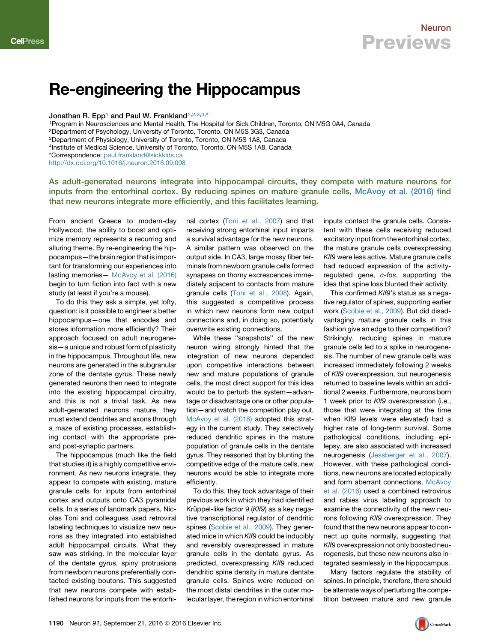## Re-engineering the Hippocampus

Jonathan R. Epp<sup>[1](#page-0-0)</sup> and Paul W. Frankland<sup>1[,2,](#page-0-1)[3](#page-0-2)[,4](#page-0-3),[\\*](#page-0-4)</sup>

<span id="page-0-2"></span><span id="page-0-1"></span><span id="page-0-0"></span>1Program in Neurosciences and Mental Health, The Hospital for Sick Children, Toronto, ON M5G 0A4, Canada 2Department of Psychology, University of Toronto, Toronto, ON M5S 3G3, Canada 3Department of Physiology, University of Toronto, Toronto, ON M5S 1A8, Canada 4Institute of Medical Science, University of Toronto, Toronto, ON M5S 1A8, Canada \*Correspondence: [paul.frankland@sickkids.ca](mailto:paul.frankland@sickkids.ca)

<span id="page-0-4"></span><span id="page-0-3"></span><http://dx.doi.org/10.1016/j.neuron.2016.09.008>

As adult-generated neurons integrate into hippocampal circuits, they compete with mature neurons for inputs from the entorhinal cortex. By reducing spines on mature granule cells, [McAvoy et al. \(2016\)](#page-1-0) find that new neurons integrate more efficiently, and this facilitates learning.

From ancient Greece to modern-day Hollywood, the ability to boost and optimize memory represents a recurring and alluring theme. By re-engineering the hippocampus—the brain region that is important for transforming our experiences into lasting memories— [McAvoy et al. \(2016\)](#page-1-0) begin to turn fiction into fact with a new study (at least if you're a mouse).

To do this they ask a simple, yet lofty, question: is it possible to engineer a better hippocampus—one that encodes and stores information more efficiently? Their approach focused on adult neurogenesis—a unique and robust form of plasticity in the hippocampus. Throughout life, new neurons are generated in the subgranular zone of the dentate gyrus. These newly generated neurons then need to integrate into the existing hippocampal circuitry, and this is not a trivial task. As new adult-generated neurons mature, they must extend dendrites and axons through a maze of existing processes, establishing contact with the appropriate preand post-synaptic partners.

The hippocampus (much like the field that studies it) is a highly competitive environment. As new neurons integrate, they appear to compete with existing, mature granule cells for inputs from entorhinal cortex and outputs onto CA3 pyramidal cells. In a series of landmark papers, Nicolas Toni and colleagues used retroviral labeling techniques to visualize new neurons as they integrated into established adult hippocampal circuits. What they saw was striking. In the molecular layer of the dentate gyrus, spiny protrusions from newborn neurons preferentially contacted existing boutons. This suggested that new neurons compete with established neurons for inputs from the entorhinal cortex [\(Toni et al., 2007\)](#page-1-1) and that receiving strong entorhinal input imparts a survival advantage for the new neurons. A similar pattern was observed on the output side. In CA3, large mossy fiber terminals from newborn granule cells formed synapses on thorny excrescences immediately adjacent to contacts from mature granule cells [\(Toni et al., 2008\)](#page-1-2). Again, this suggested a competitive process in which new neurons form new output connections and, in doing so, potentially overwrite existing connections.

While these ''snapshots'' of the new neuron wiring strongly hinted that the integration of new neurons depended upon competitive interactions between new and mature populations of granule cells, the most direct support for this idea would be to perturb the system—advantage or disadvantage one or other population—and watch the competition play out. [McAvoy et al. \(2016\)](#page-1-0) adopted this strategy in the current study. They selectively reduced dendritic spines in the mature population of granule cells in the dentate gyrus. They reasoned that by blunting the competitive edge of the mature cells, new neurons would be able to integrate more efficiently.

To do this, they took advantage of their previous work in which they had identified Krüppel-like factor 9 (Klf9) as a key negative transcriptional regulator of dendritic spines ([Scobie et al., 2009](#page-1-3)). They generated mice in which *Klf9* could be inducibly and reversibly overexpressed in mature granule cells in the dentate gyrus. As predicted, overexpressing *Klf9* reduced dendritic spine density in mature dentate granule cells. Spines were reduced on the most distal dendrites in the outer molecular layer, the region in which entorhinal

inputs contact the granule cells. Consistent with these cells receiving reduced excitatory input from the entorhinal cortex, the mature granule cells overexpressing *Klf9* were less active. Mature granule cells had reduced expression of the activityregulated gene, *c-fos*, supporting the idea that spine loss blunted their activity.

This confirmed *Klf9*'s status as a negative regulator of spines, supporting earlier work ([Scobie et al., 2009\)](#page-1-3). But did disadvantaging mature granule cells in this fashion give an edge to their competition? Strikingly, reducing spines in mature granule cells led to a spike in neurogenesis. The number of new granule cells was increased immediately following 2 weeks of *Klf9* overexpression, but neurogenesis returned to baseline levels within an additional 2 weeks. Furthermore, neurons born 1 week prior to *Klf9* overexpression (i.e., those that were integrating at the time when Klf9 levels were elevated) had a higher rate of long-term survival. Some pathological conditions, including epilepsy, are also associated with increased neurogenesis [\(Jessberger et al., 2007](#page-1-4)). However, with these pathological conditions, new neurons are located ectopically and form aberrant connections. [McAvoy](#page-1-0) [et al. \(2016\)](#page-1-0) used a combined retrovirus and rabies virus labeling approach to examine the connectivity of the new neurons following *Klf9* overexpression. They found that the new neurons appear to connect up quite normally, suggesting that *Klf9* overexpression not only boosted neurogenesis, but these new neurons also integrated seamlessly in the hippocampus.

Many factors regulate the stability of spines. In principle, therefore, there should be alternate ways of perturbing the competition between mature and new granule